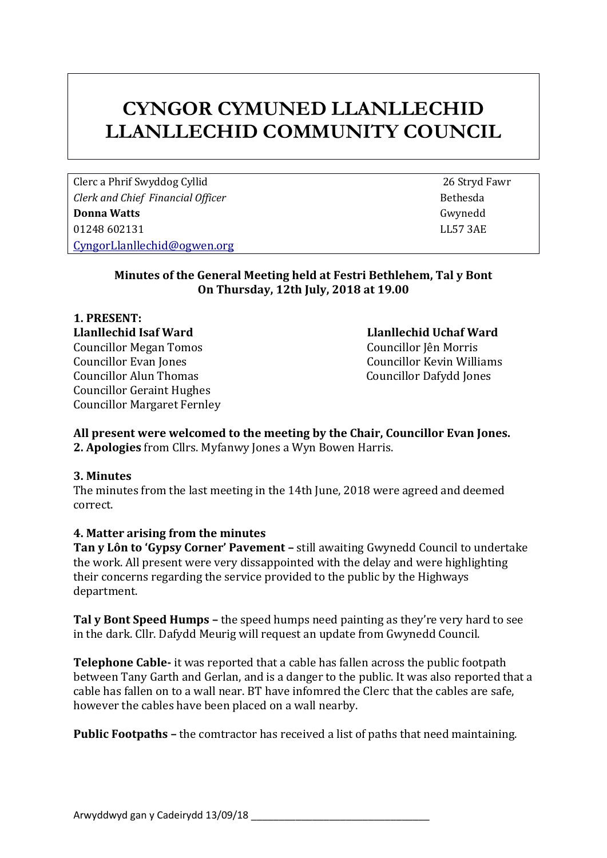# **CYNGOR CYMUNED LLANLLECHID LLANLLECHID COMMUNITY COUNCIL**

Clerc a Phrif Swyddog Cyllid 26 Stryd Fawr *Clerk and Chief Financial Officer* **Bethesda Bethesda Donna Watts** Gwynedd 01248 602131 LL57 3AE [CyngorLlanllechid@ogwen.org](mailto:CyngorLlanllechid@ogwen.org)

#### **Minutes of the General Meeting held at Festri Bethlehem, Tal y Bont On Thursday, 12th July, 2018 at 19.00**

**1. PRESENT: Llanllechid Isaf Ward Llanllechid Uchaf Ward** Councillor Megan Tomos Councillor Jên Morris Councillor Evan Jones Councillor Kevin Williams Councillor Alun Thomas Councillor Dafydd Jones Councillor Geraint Hughes Councillor Margaret Fernley

#### **All present were welcomed to the meeting by the Chair, Councillor Evan Jones. 2. Apologies** from Cllrs. Myfanwy Jones a Wyn Bowen Harris.

# **3. Minutes**

The minutes from the last meeting in the 14th June, 2018 were agreed and deemed correct.

# **4. Matter arising from the minutes**

**Tan y Lôn to 'Gypsy Corner' Pavement –** still awaiting Gwynedd Council to undertake the work. All present were very dissappointed with the delay and were highlighting their concerns regarding the service provided to the public by the Highways department.

**Tal y Bont Speed Humps –** the speed humps need painting as they're very hard to see in the dark. Cllr. Dafydd Meurig will request an update from Gwynedd Council.

**Telephone Cable-** it was reported that a cable has fallen across the public footpath between Tany Garth and Gerlan, and is a danger to the public. It was also reported that a cable has fallen on to a wall near. BT have infomred the Clerc that the cables are safe, however the cables have been placed on a wall nearby.

**Public Footpaths –** the comtractor has received a list of paths that need maintaining.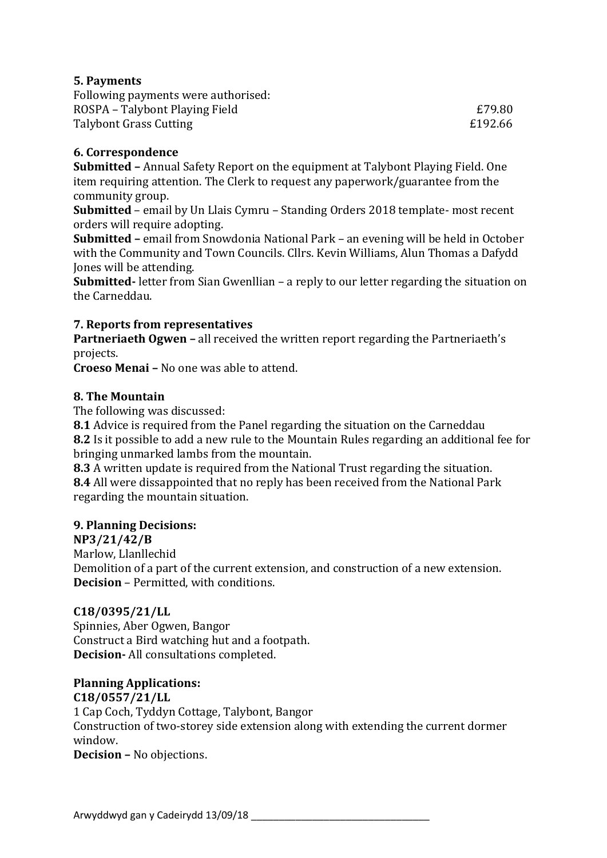# **5. Payments**

| Following payments were authorised: |         |
|-------------------------------------|---------|
| ROSPA – Talybont Playing Field      | £79.80  |
| Talybont Grass Cutting              | £192.66 |

# **6. Correspondence**

**Submitted –** Annual Safety Report on the equipment at Talybont Playing Field. One item requiring attention. The Clerk to request any paperwork/guarantee from the community group.

**Submitted** – email by Un Llais Cymru – Standing Orders 2018 template- most recent orders will require adopting.

**Submitted –** email from Snowdonia National Park – an evening will be held in October with the Community and Town Councils. Cllrs. Kevin Williams, Alun Thomas a Dafydd Jones will be attending.

**Submitted-** letter from Sian Gwenllian – a reply to our letter regarding the situation on the Carneddau.

# **7. Reports from representatives**

**Partneriaeth Ogwen –** all received the written report regarding the Partneriaeth's projects.

**Croeso Menai –** No one was able to attend.

# **8. The Mountain**

The following was discussed:

**8.1** Advice is required from the Panel regarding the situation on the Carneddau **8.2** Is it possible to add a new rule to the Mountain Rules regarding an additional fee for bringing unmarked lambs from the mountain.

**8.3** A written update is required from the National Trust regarding the situation. **8.4** All were dissappointed that no reply has been received from the National Park regarding the mountain situation.

# **9. Planning Decisions:**

# **NP3/21/42/B**

Marlow, Llanllechid Demolition of a part of the current extension, and construction of a new extension. **Decision** – Permitted, with conditions.

# **C18/0395/21/LL**

Spinnies, Aber Ogwen, Bangor Construct a Bird watching hut and a footpath. **Decision-** All consultations completed.

# **Planning Applications:**

**C18/0557/21/LL** 1 Cap Coch, Tyddyn Cottage, Talybont, Bangor Construction of two-storey side extension along with extending the current dormer window. **Decision –** No objections.